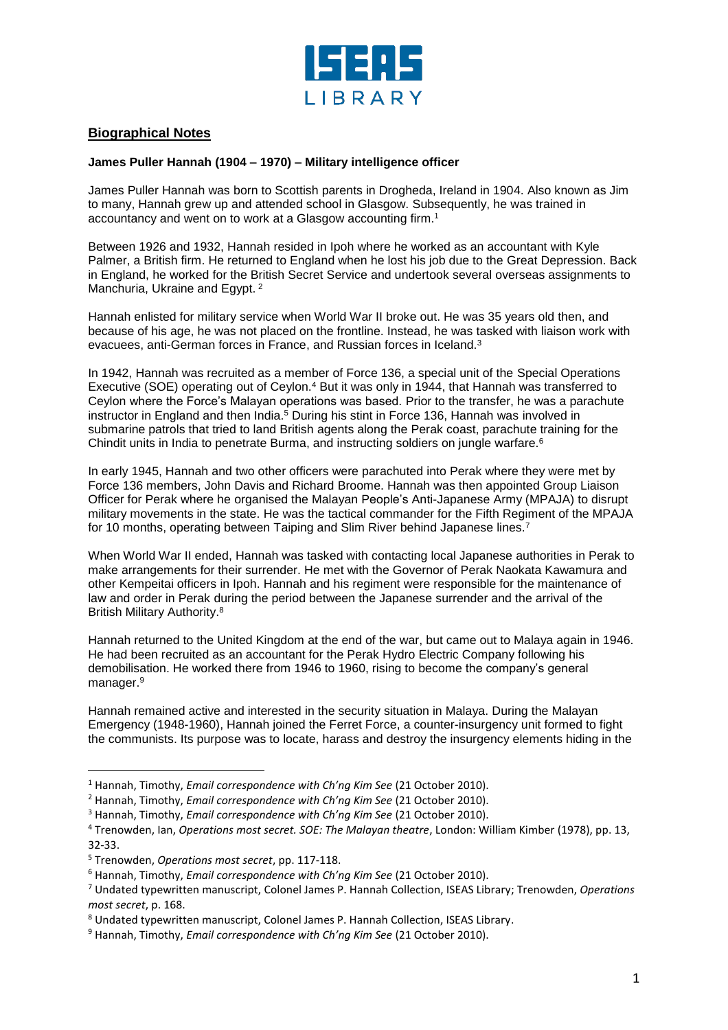

## **Biographical Notes**

## **James Puller Hannah (1904 – 1970) – Military intelligence officer**

James Puller Hannah was born to Scottish parents in Drogheda, Ireland in 1904. Also known as Jim to many, Hannah grew up and attended school in Glasgow. Subsequently, he was trained in accountancy and went on to work at a Glasgow accounting firm.<sup>1</sup>

Between 1926 and 1932, Hannah resided in Ipoh where he worked as an accountant with Kyle Palmer, a British firm. He returned to England when he lost his job due to the Great Depression. Back in England, he worked for the British Secret Service and undertook several overseas assignments to Manchuria, Ukraine and Egypt.<sup>2</sup>

Hannah enlisted for military service when World War II broke out. He was 35 years old then, and because of his age, he was not placed on the frontline. Instead, he was tasked with liaison work with evacuees, anti-German forces in France, and Russian forces in Iceland.<sup>3</sup>

In 1942, Hannah was recruited as a member of Force 136, a special unit of the Special Operations Executive (SOE) operating out of Ceylon.<sup>4</sup> But it was only in 1944, that Hannah was transferred to Ceylon where the Force's Malayan operations was based. Prior to the transfer, he was a parachute instructor in England and then India. <sup>5</sup> During his stint in Force 136, Hannah was involved in submarine patrols that tried to land British agents along the Perak coast, parachute training for the Chindit units in India to penetrate Burma, and instructing soldiers on jungle warfare.<sup>6</sup>

In early 1945, Hannah and two other officers were parachuted into Perak where they were met by Force 136 members, John Davis and Richard Broome. Hannah was then appointed Group Liaison Officer for Perak where he organised the Malayan People's Anti-Japanese Army (MPAJA) to disrupt military movements in the state. He was the tactical commander for the Fifth Regiment of the MPAJA for 10 months, operating between Taiping and Slim River behind Japanese lines.<sup>7</sup>

When World War II ended, Hannah was tasked with contacting local Japanese authorities in Perak to make arrangements for their surrender. He met with the Governor of Perak Naokata Kawamura and other Kempeitai officers in Ipoh. Hannah and his regiment were responsible for the maintenance of law and order in Perak during the period between the Japanese surrender and the arrival of the British Military Authority. 8

Hannah returned to the United Kingdom at the end of the war, but came out to Malaya again in 1946. He had been recruited as an accountant for the Perak Hydro Electric Company following his demobilisation. He worked there from 1946 to 1960, rising to become the company's general manager.<sup>9</sup>

Hannah remained active and interested in the security situation in Malaya. During the Malayan Emergency (1948-1960), Hannah joined the Ferret Force, a counter-insurgency unit formed to fight the communists. Its purpose was to locate, harass and destroy the insurgency elements hiding in the

l

<sup>1</sup> Hannah, Timothy, *Email correspondence with Ch'ng Kim See* (21 October 2010).

<sup>2</sup> Hannah, Timothy, *Email correspondence with Ch'ng Kim See* (21 October 2010).

<sup>3</sup> Hannah, Timothy, *Email correspondence with Ch'ng Kim See* (21 October 2010).

<sup>4</sup> Trenowden, Ian, *Operations most secret. SOE: The Malayan theatre*, London: William Kimber (1978), pp. 13, 32-33.

<sup>5</sup> Trenowden, *Operations most secret*, pp. 117-118.

<sup>6</sup> Hannah, Timothy, *Email correspondence with Ch'ng Kim See* (21 October 2010).

<sup>7</sup> Undated typewritten manuscript, Colonel James P. Hannah Collection, ISEAS Library; Trenowden, *Operations most secret*, p. 168.

<sup>8</sup> Undated typewritten manuscript, Colonel James P. Hannah Collection, ISEAS Library.

<sup>9</sup> Hannah, Timothy, *Email correspondence with Ch'ng Kim See* (21 October 2010).